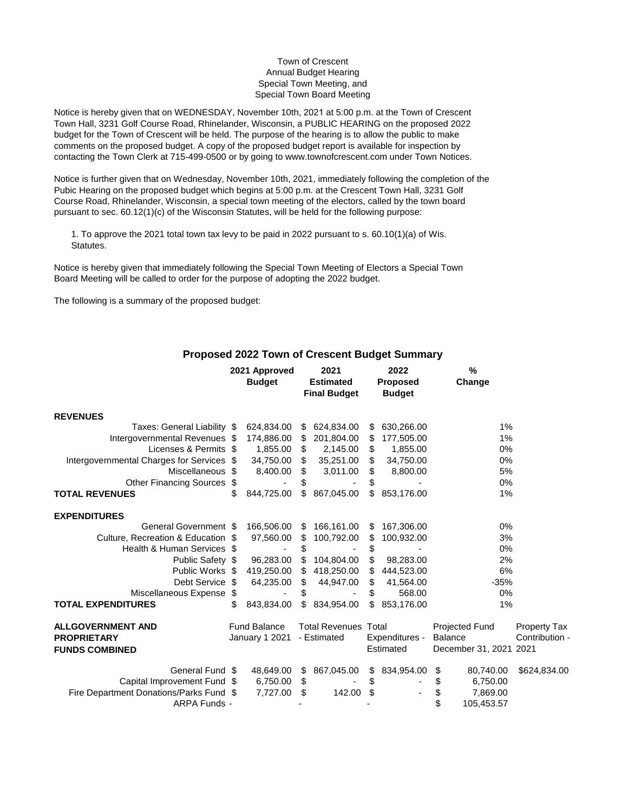## Town of Crescent Annual Budget Hearing Special Town Meeting, and Special Town Board Meeting

Notice is hereby given that on WEDNESDAY, November 10th, 2021 at 5:00 p.m. at the Town of Crescent Town Hall, 3231 Golf Course Road, Rhinelander, Wisconsin, a PUBLIC HEARING on the proposed 2022 budget for the Town of Crescent will be held. The purpose of the hearing is to allow the public to make comments on the proposed budget. A copy of the proposed budget report is available for inspection by contacting the Town Clerk at 715-499-0500 or by going to www.townofcrescent.com under Town Notices.

Notice is further given that on Wednesday, November 10th, 2021, immediately following the completion of the Pubic Hearing on the proposed budget which begins at 5:00 p.m. at the Crescent Town Hall, 3231 Golf Course Road, Rhinelander, Wisconsin, a special town meeting of the electors, called by the town board pursuant to sec. 60.12(1)(c) of the Wisconsin Statutes, will be held for the following purpose:

1. To approve the 2021 total town tax levy to be paid in 2022 pursuant to s. 60.10(1)(a) of Wis. Statutes.

Notice is hereby given that immediately following the Special Town Meeting of Electors a Special Town Board Meeting will be called to order for the purpose of adopting the 2022 budget.

The following is a summary of the proposed budget:

|                                           |    | 2021 Approved       |    | 2021                                    |    | 2022                             |                | $\frac{0}{0}$     |                     |
|-------------------------------------------|----|---------------------|----|-----------------------------------------|----|----------------------------------|----------------|-------------------|---------------------|
|                                           |    | <b>Budget</b>       |    | <b>Estimated</b><br><b>Final Budget</b> |    | <b>Proposed</b><br><b>Budget</b> |                | Change            |                     |
| <b>REVENUES</b>                           |    |                     |    |                                         |    |                                  |                |                   |                     |
| Taxes: General Liability \$               |    | 624,834.00          | \$ | 624,834.00                              | \$ | 630,266.00                       |                | 1%                |                     |
| Intergovernmental Revenues \$             |    | 174,886.00          | \$ | 201,804.00                              | \$ | 177,505.00                       |                | 1%                |                     |
| Licenses & Permits \$                     |    | 1,855.00            | \$ | 2,145.00                                | \$ | 1,855.00                         |                | 0%                |                     |
| Intergovernmental Charges for Services \$ |    | 34,750.00           | \$ | 35,251.00                               | \$ | 34,750.00                        |                | 0%                |                     |
| Miscellaneous \$                          |    | 8,400.00            | \$ | 3,011.00                                | \$ | 8,800.00                         |                | 5%                |                     |
| <b>Other Financing Sources</b>            | S  |                     |    |                                         | \$ |                                  |                | 0%                |                     |
| <b>TOTAL REVENUES</b>                     | \$ | 844,725.00          | \$ | 867,045.00                              | \$ | 853,176.00                       |                | 1%                |                     |
| <b>EXPENDITURES</b>                       |    |                     |    |                                         |    |                                  |                |                   |                     |
| General Government \$                     |    | 166,506.00          | \$ | 166,161.00                              | S  | 167,306.00                       |                | 0%                |                     |
| Culture, Recreation & Education \$        |    | 97,560.00           | \$ | 100,792.00                              | \$ | 100,932.00                       |                | 3%                |                     |
| Health & Human Services \$                |    |                     | \$ |                                         | \$ |                                  |                | 0%                |                     |
| Public Safety \$                          |    | 96,283.00           | \$ | 104,804.00                              | \$ | 98,283.00                        |                | 2%                |                     |
| Public Works \$                           |    | 419,250.00          | \$ | 418,250.00                              | \$ | 444,523.00                       |                | 6%                |                     |
| Debt Service \$                           |    | 64,235.00           | \$ | 44,947.00                               | \$ | 41,564.00                        |                | $-35%$            |                     |
| Miscellaneous Expense                     | \$ |                     | S  |                                         | \$ | 568.00                           |                | 0%                |                     |
| <b>TOTAL EXPENDITURES</b>                 | \$ | 843,834.00          | \$ | 834,954.00                              | \$ | 853,176.00                       |                | 1%                |                     |
| <b>ALLGOVERNMENT AND</b>                  |    | <b>Fund Balance</b> |    | <b>Total Revenues Total</b>             |    |                                  |                | Projected Fund    | <b>Property Tax</b> |
| <b>PROPRIETARY</b>                        |    | January 1 2021      |    | - Estimated                             |    | Expenditures -                   | <b>Balance</b> |                   | Contribution -      |
| <b>FUNDS COMBINED</b>                     |    |                     |    |                                         |    | Estimated                        |                | December 31, 2021 | 2021                |
| General Fund \$                           |    | 48,649.00           | \$ | 867,045.00                              | \$ | 834,954.00                       | \$             | 80,740.00         | \$624,834.00        |
| Capital Improvement Fund \$               |    | 6,750.00            | \$ |                                         | \$ |                                  | \$             | 6,750.00          |                     |
| Fire Department Donations/Parks Fund \$   |    | 7,727.00            | \$ | 142.00                                  | \$ |                                  | \$             | 7,869.00          |                     |
| ARPA Funds -                              |    |                     |    |                                         |    |                                  | \$             | 105,453.57        |                     |

## **Proposed 2022 Town of Crescent Budget Summary**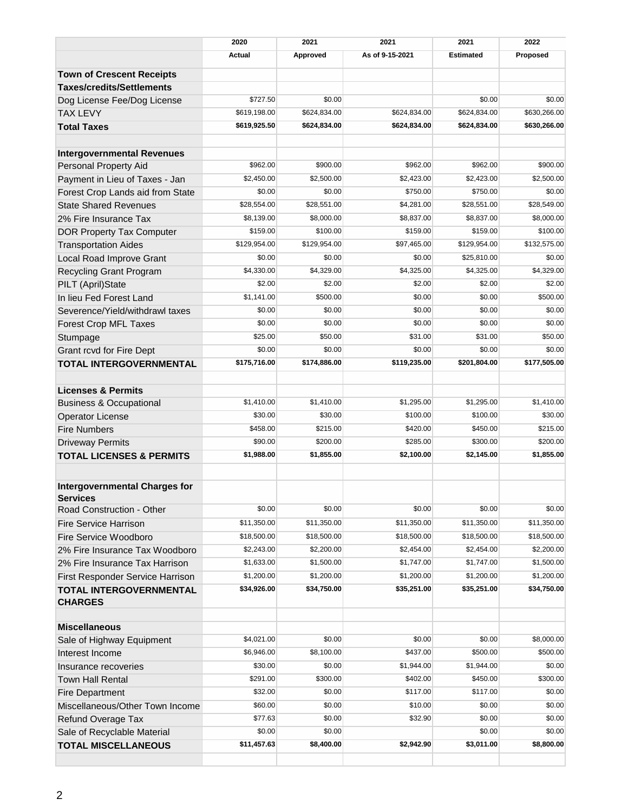|                                      | 2020          | 2021         | 2021            | 2021             | 2022         |  |
|--------------------------------------|---------------|--------------|-----------------|------------------|--------------|--|
|                                      | <b>Actual</b> | Approved     | As of 9-15-2021 | <b>Estimated</b> | Proposed     |  |
| <b>Town of Crescent Receipts</b>     |               |              |                 |                  |              |  |
| <b>Taxes/credits/Settlements</b>     |               |              |                 |                  |              |  |
| Dog License Fee/Dog License          | \$727.50      | \$0.00       |                 | \$0.00           | \$0.00       |  |
| <b>TAX LEVY</b>                      | \$619,198.00  | \$624,834.00 | \$624,834.00    | \$624,834.00     | \$630,266.00 |  |
| <b>Total Taxes</b>                   | \$619,925.50  | \$624,834.00 | \$624,834.00    | \$624,834.00     | \$630,266.00 |  |
|                                      |               |              |                 |                  |              |  |
| <b>Intergovernmental Revenues</b>    |               |              |                 |                  |              |  |
| <b>Personal Property Aid</b>         | \$962.00      | \$900.00     | \$962.00        | \$962.00         | \$900.00     |  |
| Payment in Lieu of Taxes - Jan       | \$2,450.00    | \$2,500.00   | \$2,423.00      | \$2,423.00       | \$2,500.00   |  |
| Forest Crop Lands aid from State     | \$0.00        | \$0.00       | \$750.00        | \$750.00         | \$0.00       |  |
| <b>State Shared Revenues</b>         | \$28,554.00   | \$28,551.00  | \$4,281.00      | \$28,551.00      | \$28,549.00  |  |
| 2% Fire Insurance Tax                | \$8,139.00    | \$8,000.00   | \$8,837.00      | \$8,837.00       | \$8,000.00   |  |
| DOR Property Tax Computer            | \$159.00      | \$100.00     | \$159.00        | \$159.00         | \$100.00     |  |
| <b>Transportation Aides</b>          | \$129,954.00  | \$129,954.00 | \$97,465.00     | \$129,954.00     | \$132,575.00 |  |
| Local Road Improve Grant             | \$0.00        | \$0.00       | \$0.00          | \$25,810.00      | \$0.00       |  |
| Recycling Grant Program              | \$4,330.00    | \$4,329.00   | \$4,325.00      | \$4,325.00       | \$4,329.00   |  |
| PILT (April)State                    | \$2.00        | \$2.00       | \$2.00          | \$2.00           | \$2.00       |  |
| In lieu Fed Forest Land              | \$1,141.00    | \$500.00     | \$0.00          | \$0.00           | \$500.00     |  |
| Severence/Yield/withdrawl taxes      | \$0.00        | \$0.00       | \$0.00          | \$0.00           | \$0.00       |  |
| Forest Crop MFL Taxes                | \$0.00        | \$0.00       | \$0.00          | \$0.00           | \$0.00       |  |
| Stumpage                             | \$25.00       | \$50.00      | \$31.00         | \$31.00          | \$50.00      |  |
| Grant rcvd for Fire Dept             | \$0.00        | \$0.00       | \$0.00          | \$0.00           | \$0.00       |  |
| <b>TOTAL INTERGOVERNMENTAL</b>       | \$175,716.00  | \$174,886.00 | \$119,235.00    | \$201,804.00     | \$177,505.00 |  |
| <b>Licenses &amp; Permits</b>        |               |              |                 |                  |              |  |
| <b>Business &amp; Occupational</b>   | \$1,410.00    | \$1,410.00   | \$1,295.00      | \$1,295.00       | \$1,410.00   |  |
| <b>Operator License</b>              | \$30.00       | \$30.00      | \$100.00        | \$100.00         | \$30.00      |  |
| <b>Fire Numbers</b>                  | \$458.00      | \$215.00     | \$420.00        | \$450.00         | \$215.00     |  |
| <b>Driveway Permits</b>              | \$90.00       | \$200.00     | \$285.00        | \$300.00         | \$200.00     |  |
| <b>TOTAL LICENSES &amp; PERMITS</b>  | \$1,988.00    | \$1,855.00   | \$2,100.00      | \$2,145.00       | \$1,855.00   |  |
| <b>Intergovernmental Charges for</b> |               |              |                 |                  |              |  |
| <b>Services</b>                      |               |              |                 |                  |              |  |
| Road Construction - Other            | \$0.00        | \$0.00       | \$0.00          | \$0.00           | \$0.00       |  |
| <b>Fire Service Harrison</b>         | \$11,350.00   | \$11,350.00  | \$11,350.00     | \$11,350.00      | \$11,350.00  |  |
| Fire Service Woodboro                | \$18,500.00   | \$18,500.00  | \$18,500.00     | \$18,500.00      | \$18,500.00  |  |
| 2% Fire Insurance Tax Woodboro       | \$2,243.00    | \$2,200.00   | \$2,454.00      | \$2,454.00       | \$2,200.00   |  |
| 2% Fire Insurance Tax Harrison       | \$1,633.00    | \$1,500.00   | \$1,747.00      | \$1,747.00       | \$1,500.00   |  |
| First Responder Service Harrison     | \$1,200.00    | \$1,200.00   | \$1,200.00      | \$1,200.00       | \$1,200.00   |  |
| <b>TOTAL INTERGOVERNMENTAL</b>       | \$34,926.00   | \$34,750.00  | \$35,251.00     | \$35,251.00      | \$34,750.00  |  |
| <b>CHARGES</b>                       |               |              |                 |                  |              |  |
| <b>Miscellaneous</b>                 |               |              |                 |                  |              |  |
| Sale of Highway Equipment            | \$4,021.00    | \$0.00       | \$0.00          | \$0.00           | \$8,000.00   |  |
| Interest Income                      | \$6,946.00    | \$8,100.00   | \$437.00        | \$500.00         | \$500.00     |  |
| Insurance recoveries                 | \$30.00       | \$0.00       | \$1,944.00      | \$1,944.00       | \$0.00       |  |
| <b>Town Hall Rental</b>              | \$291.00      | \$300.00     | \$402.00        | \$450.00         | \$300.00     |  |
| <b>Fire Department</b>               | \$32.00       | \$0.00       | \$117.00        | \$117.00         | \$0.00       |  |
| Miscellaneous/Other Town Income      | \$60.00       | \$0.00       | \$10.00         | \$0.00           | \$0.00       |  |
| Refund Overage Tax                   | \$77.63       | \$0.00       | \$32.90         | \$0.00           | \$0.00       |  |
| Sale of Recyclable Material          | \$0.00        | \$0.00       |                 | \$0.00           | \$0.00       |  |
| <b>TOTAL MISCELLANEOUS</b>           | \$11,457.63   | \$8,400.00   | \$2,942.90      | \$3,011.00       | \$8,800.00   |  |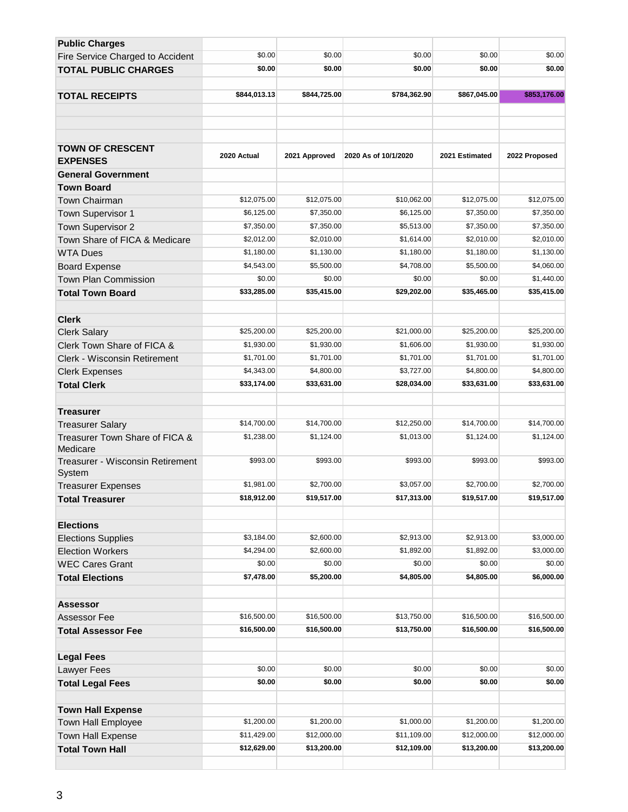| <b>Public Charges</b>                      |              |               |                      |                |               |
|--------------------------------------------|--------------|---------------|----------------------|----------------|---------------|
| Fire Service Charged to Accident           | \$0.00       | \$0.00        | \$0.00               | \$0.00         | \$0.00        |
| <b>TOTAL PUBLIC CHARGES</b>                | \$0.00       | \$0.00        | \$0.00               | \$0.00         | \$0.00        |
|                                            |              |               |                      |                |               |
| <b>TOTAL RECEIPTS</b>                      | \$844,013.13 | \$844,725.00  | \$784,362.90         | \$867,045.00   | \$853,176.00  |
|                                            |              |               |                      |                |               |
|                                            |              |               |                      |                |               |
|                                            |              |               |                      |                |               |
| <b>TOWN OF CRESCENT</b><br><b>EXPENSES</b> | 2020 Actual  | 2021 Approved | 2020 As of 10/1/2020 | 2021 Estimated | 2022 Proposed |
| <b>General Government</b>                  |              |               |                      |                |               |
| <b>Town Board</b>                          |              |               |                      |                |               |
| Town Chairman                              | \$12,075.00  | \$12,075.00   | \$10,062.00          | \$12,075.00    | \$12,075.00   |
| Town Supervisor 1                          | \$6,125.00   | \$7,350.00    | \$6,125.00           | \$7,350.00     | \$7,350.00    |
| Town Supervisor 2                          | \$7,350.00   | \$7,350.00    | \$5,513.00           | \$7,350.00     | \$7,350.00    |
| Town Share of FICA & Medicare              | \$2,012.00   | \$2,010.00    | \$1,614.00           | \$2,010.00     | \$2,010.00    |
| <b>WTA Dues</b>                            | \$1,180.00   | \$1,130.00    | \$1,180.00           | \$1,180.00     | \$1,130.00    |
| <b>Board Expense</b>                       | \$4,543.00   | \$5,500.00    | \$4,708.00           | \$5,500.00     | \$4,060.00    |
| <b>Town Plan Commission</b>                | \$0.00       | \$0.00        | \$0.00               | \$0.00         | \$1,440.00    |
| <b>Total Town Board</b>                    | \$33,285.00  | \$35,415.00   | \$29,202.00          | \$35,465.00    | \$35,415.00   |
|                                            |              |               |                      |                |               |
| <b>Clerk</b>                               |              |               |                      |                |               |
| <b>Clerk Salary</b>                        | \$25,200.00  | \$25,200.00   | \$21,000.00          | \$25,200.00    | \$25,200.00   |
| Clerk Town Share of FICA &                 | \$1,930.00   | \$1,930.00    | \$1,606.00           | \$1,930.00     | \$1,930.00    |
| <b>Clerk - Wisconsin Retirement</b>        | \$1,701.00   | \$1,701.00    | \$1,701.00           | \$1,701.00     | \$1,701.00    |
| <b>Clerk Expenses</b>                      | \$4,343.00   | \$4,800.00    | \$3,727.00           | \$4,800.00     | \$4,800.00    |
| <b>Total Clerk</b>                         | \$33,174.00  | \$33,631.00   | \$28,034.00          | \$33,631.00    | \$33,631.00   |
|                                            |              |               |                      |                |               |
| <b>Treasurer</b>                           |              |               |                      |                |               |
| <b>Treasurer Salary</b>                    | \$14,700.00  | \$14,700.00   | \$12,250.00          | \$14,700.00    | \$14,700.00   |
| Treasurer Town Share of FICA &<br>Medicare | \$1,238.00   | \$1,124.00    | \$1,013.00           | \$1,124.00     | \$1,124.00    |
| Treasurer - Wisconsin Retirement<br>System | \$993.00     | \$993.00      | \$993.00             | \$993.00       | \$993.00      |
| <b>Treasurer Expenses</b>                  | \$1,981.00   | \$2,700.00    | \$3,057.00           | \$2,700.00     | \$2,700.00    |
| Total Treasurer                            | \$18,912.00  | \$19,517.00   | \$17,313.00          | \$19,517.00    | \$19,517.00   |
|                                            |              |               |                      |                |               |
| <b>Elections</b>                           |              |               |                      |                |               |
| <b>Elections Supplies</b>                  | \$3,184.00   | \$2,600.00    | \$2,913.00           | \$2,913.00     | \$3,000.00    |
| <b>Election Workers</b>                    | \$4,294.00   | \$2,600.00    | \$1,892.00           | \$1,892.00     | \$3,000.00    |
| <b>WEC Cares Grant</b>                     | \$0.00       | \$0.00        | \$0.00               | \$0.00         | \$0.00        |
| <b>Total Elections</b>                     | \$7,478.00   | \$5,200.00    | \$4,805.00           | \$4,805.00     | \$6,000.00    |
| <b>Assessor</b>                            |              |               |                      |                |               |
| Assessor Fee                               | \$16,500.00  | \$16,500.00   | \$13,750.00          | \$16,500.00    | \$16,500.00   |
| <b>Total Assessor Fee</b>                  | \$16,500.00  | \$16,500.00   | \$13,750.00          | \$16,500.00    | \$16,500.00   |
|                                            |              |               |                      |                |               |
| <b>Legal Fees</b>                          |              |               |                      |                |               |
| Lawyer Fees                                | \$0.00       | \$0.00        | \$0.00               | \$0.00         | \$0.00        |
| <b>Total Legal Fees</b>                    | \$0.00       | \$0.00        | \$0.00               | \$0.00         | \$0.00        |
|                                            |              |               |                      |                |               |
| <b>Town Hall Expense</b>                   |              |               |                      |                |               |
| Town Hall Employee                         | \$1,200.00   | \$1,200.00    | \$1,000.00           | \$1,200.00     | \$1,200.00    |
| <b>Town Hall Expense</b>                   | \$11,429.00  | \$12,000.00   | \$11,109.00          | \$12,000.00    | \$12,000.00   |
| <b>Total Town Hall</b>                     | \$12,629.00  | \$13,200.00   | \$12,109.00          | \$13,200.00    | \$13,200.00   |
|                                            |              |               |                      |                |               |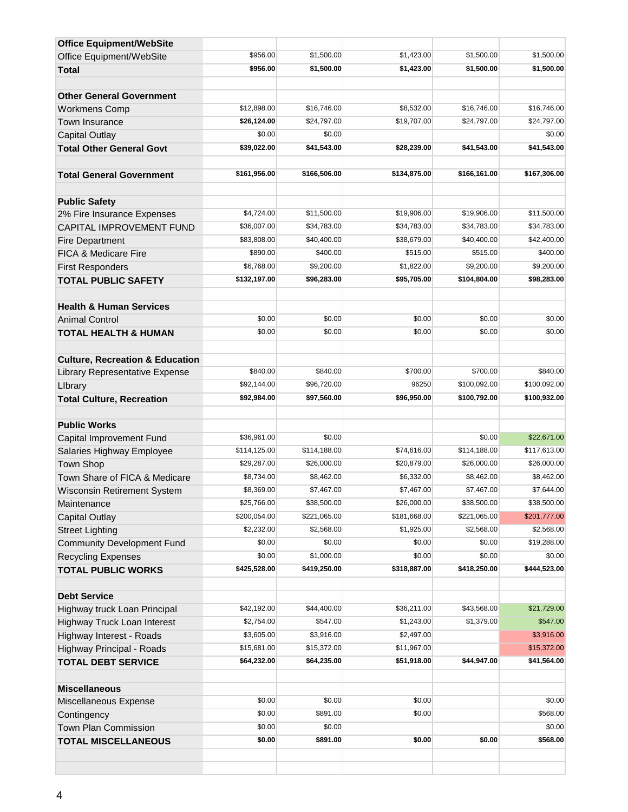| <b>Office Equipment/WebSite</b>            |              |              |              |              |              |
|--------------------------------------------|--------------|--------------|--------------|--------------|--------------|
| Office Equipment/WebSite                   | \$956.00     | \$1,500.00   | \$1,423.00   | \$1,500.00   | \$1,500.00   |
| <b>Total</b>                               | \$956.00     | \$1,500.00   | \$1,423.00   | \$1,500.00   | \$1,500.00   |
|                                            |              |              |              |              |              |
| <b>Other General Government</b>            |              |              |              |              |              |
| <b>Workmens Comp</b>                       | \$12,898.00  | \$16,746.00  | \$8,532.00   | \$16,746.00  | \$16,746.00  |
| <b>Town Insurance</b>                      | \$26,124.00  | \$24,797.00  | \$19,707.00  | \$24,797.00  | \$24,797.00  |
| <b>Capital Outlay</b>                      | \$0.00       | \$0.00       |              |              | \$0.00       |
| <b>Total Other General Govt</b>            | \$39,022.00  | \$41,543.00  | \$28,239.00  | \$41,543.00  | \$41,543.00  |
|                                            |              |              |              |              |              |
| <b>Total General Government</b>            | \$161,956.00 | \$166,506.00 | \$134,875.00 | \$166,161.00 | \$167,306.00 |
| <b>Public Safety</b>                       |              |              |              |              |              |
| 2% Fire Insurance Expenses                 | \$4,724.00   | \$11,500.00  | \$19,906.00  | \$19,906.00  | \$11,500.00  |
| CAPITAL IMPROVEMENT FUND                   | \$36,007.00  | \$34,783.00  | \$34,783.00  | \$34,783.00  | \$34,783.00  |
| <b>Fire Department</b>                     | \$83,808.00  | \$40,400.00  | \$38,679.00  | \$40,400.00  | \$42,400.00  |
| <b>FICA &amp; Medicare Fire</b>            | \$890.00     | \$400.00     | \$515.00     | \$515.00     | \$400.00     |
| <b>First Responders</b>                    | \$6,768.00   | \$9,200.00   | \$1,822.00   | \$9,200.00   | \$9,200.00   |
| <b>TOTAL PUBLIC SAFETY</b>                 | \$132,197.00 | \$96,283.00  | \$95,705.00  | \$104,804.00 | \$98,283.00  |
| <b>Health &amp; Human Services</b>         |              |              |              |              |              |
| <b>Animal Control</b>                      | \$0.00       | \$0.00       | \$0.00       | \$0.00       | \$0.00       |
| <b>TOTAL HEALTH &amp; HUMAN</b>            | \$0.00       | \$0.00       | \$0.00       | \$0.00       | \$0.00       |
| <b>Culture, Recreation &amp; Education</b> |              |              |              |              |              |
| Library Representative Expense             | \$840.00     | \$840.00     | \$700.00     | \$700.00     | \$840.00     |
| Library                                    | \$92,144.00  | \$96,720.00  | 96250        | \$100,092.00 | \$100,092.00 |
| <b>Total Culture, Recreation</b>           | \$92,984.00  | \$97,560.00  | \$96,950.00  | \$100,792.00 | \$100,932.00 |
|                                            |              |              |              |              |              |
| <b>Public Works</b>                        |              |              |              |              |              |
| Capital Improvement Fund                   | \$36,961.00  | \$0.00       |              | \$0.00       | \$22,671.00  |
| Salaries Highway Employee                  | \$114,125.00 | \$114,188.00 | \$74,616.00  | \$114,188.00 | \$117,613.00 |
| <b>Town Shop</b>                           | \$29,287.00  | \$26,000.00  | \$20,879.00  | \$26,000.00  | \$26,000.00  |
| Town Share of FICA & Medicare              | \$8,734.00   | \$8,462.00   | \$6,332.00   | \$8,462.00   | \$8,462.00   |
| <b>Wisconsin Retirement System</b>         | \$8,369.00   | \$7,467.00   | \$7,467.00   | \$7,467.00   | \$7,644.00   |
| Maintenance                                | \$25,766.00  | \$38,500.00  | \$26,000.00  | \$38,500.00  | \$38,500.00  |
| <b>Capital Outlay</b>                      | \$200,054.00 | \$221,065.00 | \$181,668.00 | \$221,065.00 | \$201,777.00 |
| <b>Street Lighting</b>                     | \$2,232.00   | \$2,568.00   | \$1,925.00   | \$2,568.00   | \$2,568.00   |
| <b>Community Development Fund</b>          | \$0.00       | \$0.00       | \$0.00       | \$0.00       | \$19,288.00  |
| <b>Recycling Expenses</b>                  | \$0.00       | \$1,000.00   | \$0.00       | \$0.00       | \$0.00       |
| <b>TOTAL PUBLIC WORKS</b>                  | \$425,528.00 | \$419,250.00 | \$318,887.00 | \$418,250.00 | \$444,523.00 |
| <b>Debt Service</b>                        |              |              |              |              |              |
| Highway truck Loan Principal               | \$42,192.00  | \$44,400.00  | \$36,211.00  | \$43,568.00  | \$21,729.00  |
| Highway Truck Loan Interest                | \$2,754.00   | \$547.00     | \$1,243.00   | \$1,379.00   | \$547.00     |
| Highway Interest - Roads                   | \$3,605.00   | \$3,916.00   | \$2,497.00   |              | \$3,916.00   |
| Highway Principal - Roads                  | \$15,681.00  | \$15,372.00  | \$11,967.00  |              | \$15,372.00  |
| <b>TOTAL DEBT SERVICE</b>                  | \$64,232.00  | \$64,235.00  | \$51,918.00  | \$44,947.00  | \$41,564.00  |
| <b>Miscellaneous</b>                       |              |              |              |              |              |
| Miscellaneous Expense                      | \$0.00       | \$0.00       | \$0.00       |              | \$0.00       |
| Contingency                                | \$0.00       | \$891.00     | \$0.00       |              | \$568.00     |
| Town Plan Commission                       | \$0.00       | \$0.00       |              |              | \$0.00       |
| <b>TOTAL MISCELLANEOUS</b>                 | \$0.00       | \$891.00     | \$0.00       | \$0.00       | \$568.00     |
|                                            |              |              |              |              |              |